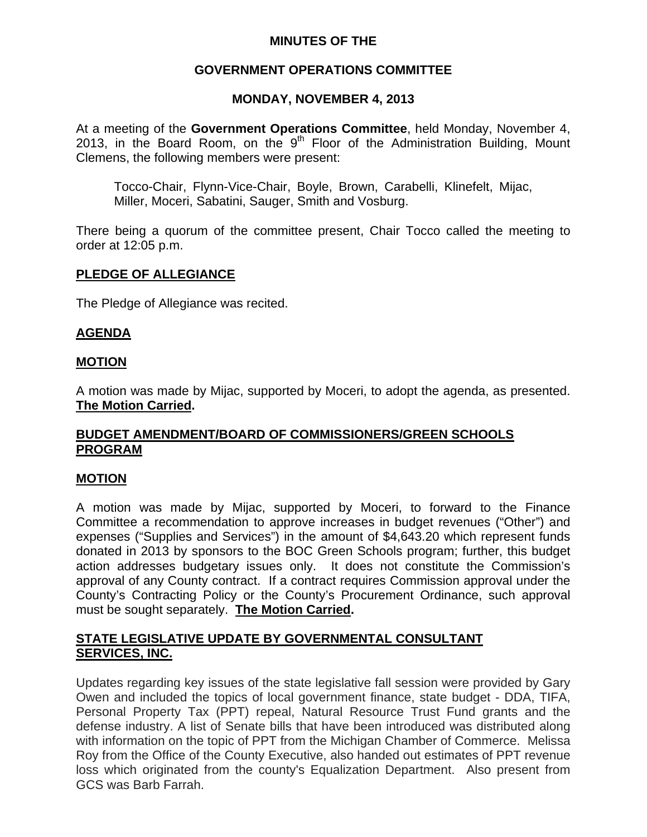# **MINUTES OF THE**

## **GOVERNMENT OPERATIONS COMMITTEE**

## **MONDAY, NOVEMBER 4, 2013**

At a meeting of the **Government Operations Committee**, held Monday, November 4, 2013, in the Board Room, on the  $9<sup>th</sup>$  Floor of the Administration Building, Mount Clemens, the following members were present:

Tocco-Chair, Flynn-Vice-Chair, Boyle, Brown, Carabelli, Klinefelt, Mijac, Miller, Moceri, Sabatini, Sauger, Smith and Vosburg.

There being a quorum of the committee present, Chair Tocco called the meeting to order at 12:05 p.m.

## **PLEDGE OF ALLEGIANCE**

The Pledge of Allegiance was recited.

## **AGENDA**

### **MOTION**

A motion was made by Mijac, supported by Moceri, to adopt the agenda, as presented. **The Motion Carried.** 

# **BUDGET AMENDMENT/BOARD OF COMMISSIONERS/GREEN SCHOOLS PROGRAM**

### **MOTION**

A motion was made by Mijac, supported by Moceri, to forward to the Finance Committee a recommendation to approve increases in budget revenues ("Other") and expenses ("Supplies and Services") in the amount of \$4,643.20 which represent funds donated in 2013 by sponsors to the BOC Green Schools program; further, this budget action addresses budgetary issues only. It does not constitute the Commission's approval of any County contract. If a contract requires Commission approval under the County's Contracting Policy or the County's Procurement Ordinance, such approval must be sought separately. **The Motion Carried.** 

# **STATE LEGISLATIVE UPDATE BY GOVERNMENTAL CONSULTANT SERVICES, INC.**

Updates regarding key issues of the state legislative fall session were provided by Gary Owen and included the topics of local government finance, state budget - DDA, TIFA, Personal Property Tax (PPT) repeal, Natural Resource Trust Fund grants and the defense industry. A list of Senate bills that have been introduced was distributed along with information on the topic of PPT from the Michigan Chamber of Commerce. Melissa Roy from the Office of the County Executive, also handed out estimates of PPT revenue loss which originated from the county's Equalization Department. Also present from GCS was Barb Farrah.